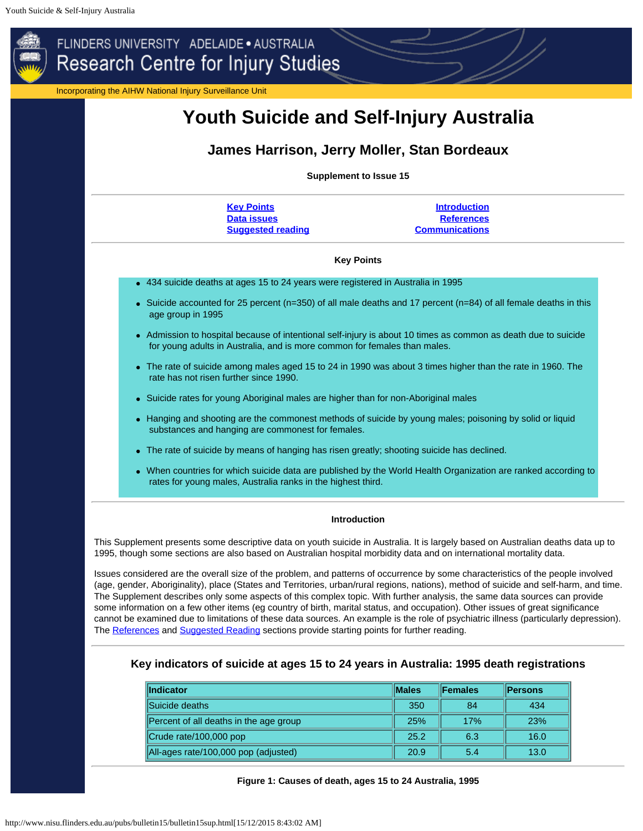<span id="page-0-0"></span>

<span id="page-0-1"></span>This Supplement presents some descriptive data on youth suicide in Australia. It is largely based on Australian deaths data up to 1995, though some sections are also based on Australian hospital morbidity data and on international mortality data.

Issues considered are the overall size of the problem, and patterns of occurrence by some characteristics of the people involved (age, gender, Aboriginality), place (States and Territories, urban/rural regions, nations), method of suicide and self-harm, and time. The Supplement describes only some aspects of this complex topic. With further analysis, the same data sources can provide some information on a few other items (eg country of birth, marital status, and occupation). Other issues of great significance cannot be examined due to limitations of these data sources. An example is the role of psychiatric illness (particularly depression). The [References](#page-11-1) and [Suggested Reading](#page-11-0) sections provide starting points for further reading.

# **Key indicators of suicide at ages 15 to 24 years in Australia: 1995 death registrations**

| <b>Indicator</b>                       | <b>IMales</b> | <b>IFemales</b> | <b>Persons</b> |
|----------------------------------------|---------------|-----------------|----------------|
| Suicide deaths                         | 350           | 84              | 434            |
| Percent of all deaths in the age group | 25%           | 17%             | 23%            |
| Crude rate/100,000 pop                 | 25.2          | 6.3             | 16.0           |
| All-ages rate/100,000 pop (adjusted)   | 20.9          | 5.4             | 13.0           |

#### **Figure 1: Causes of death, ages 15 to 24 Australia, 1995**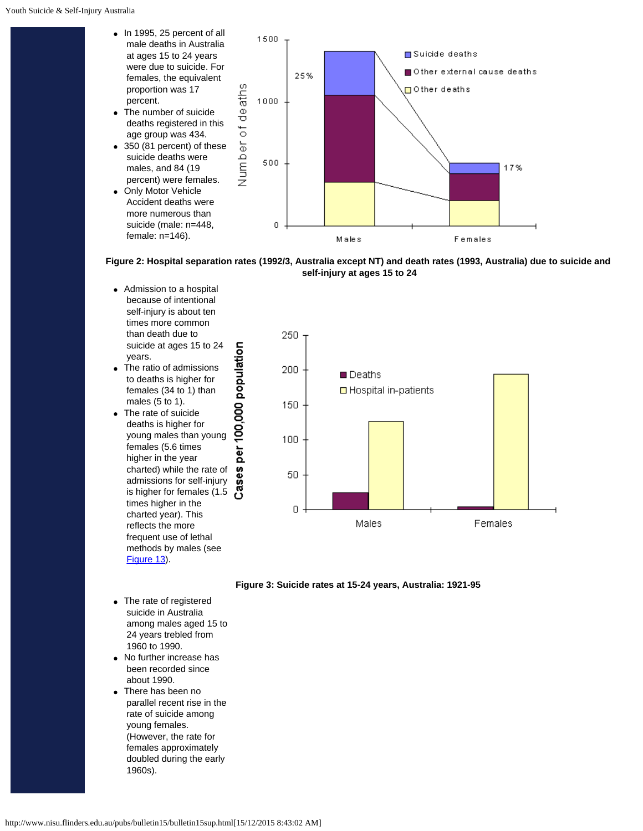- $\bullet$  In 1995, 25 percent of all male deaths in Australia at ages 15 to 24 years were due to suicide. For females, the equivalent proportion was 17 percent. The number of suicide
- deaths registered in this age group was 434. 350 (81 percent) of these
- suicide deaths were males, and 84 (19 percent) were females.
- Only Motor Vehicle Accident deaths were more numerous than suicide (male: n=448, female: n=146).



**Figure 2: Hospital separation rates (1992/3, Australia except NT) and death rates (1993, Australia) due to suicide and self-injury at ages 15 to 24**

- Admission to a hospital because of intentional self-injury is about ten times more common than death due to suicide at ages 15 to 24 years.
- The ratio of admissions to deaths is higher for females (34 to 1) than males (5 to 1).
- per 100,000 population The rate of suicide deaths is higher for young males than young females (5.6 times higher in the year charted) while the rate of admissions for self-injury is higher for females (1.5 times higher in the charted year). This reflects the more frequent use of lethal methods by males (see [Figure](#page-5-0) 13).

Cases

250 200 **Deaths** □ Hospital in-patients 150 100 50 0 Males Females

## **Figure 3: Suicide rates at 15-24 years, Australia: 1921-95**

- The rate of registered suicide in Australia among males aged 15 to 24 years trebled from 1960 to 1990.
- No further increase has been recorded since about 1990.
- There has been no parallel recent rise in the rate of suicide among young females. (However, the rate for females approximately doubled during the early 1960s).

http://www.nisu.flinders.edu.au/pubs/bulletin15/bulletin15sup.html[15/12/2015 8:43:02 AM]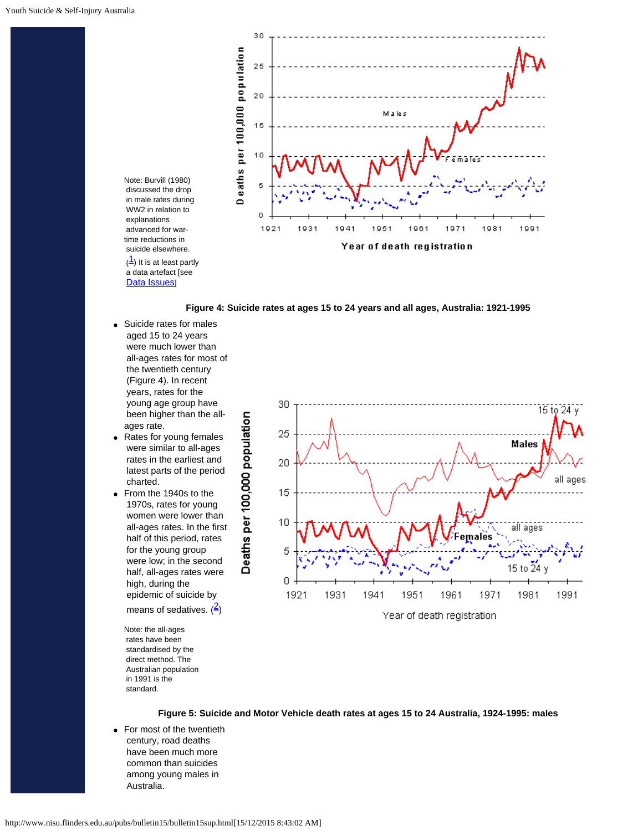

**Figure 4: Suicide rates at ages 15 to 24 years and all ages, Australia: 1921-1995**

Suicide rates for males aged 15 to 24 years were much lower than all-ages rates for most of the twentieth century (Figure 4). In recent years, rates for the young age group have been higher than the allages rate.

Note: Burvill (1980) discussed the drop in male rates during WW2 in relation to explanations advanced for wartime reductions in suicide elsewhere.

 a data artefact [see [Data Issues](#page-10-0)]

- Rates for young females  $\bullet$  were similar to all-ages rates in the earliest and latest parts of the period charted.
- From the 1940s to the 1970s, rates for young women were lower than all-ages rates. In the first half of this period, rates for the young group were low; in the second half, all-ages rates were high, during the epidemic of suicide by means of sedatives.  $\left(\frac{2}{3}\right)$  $\left(\frac{2}{3}\right)$  $\left(\frac{2}{3}\right)$

Note: the all-ages rates have been standardised by the direct method. The Australian population in 1991 is the standard.



**Figure 5: Suicide and Motor Vehicle death rates at ages 15 to 24 Australia, 1924-1995: males**

• For most of the twentieth century, road deaths have been much more common than suicides among young males in Australia.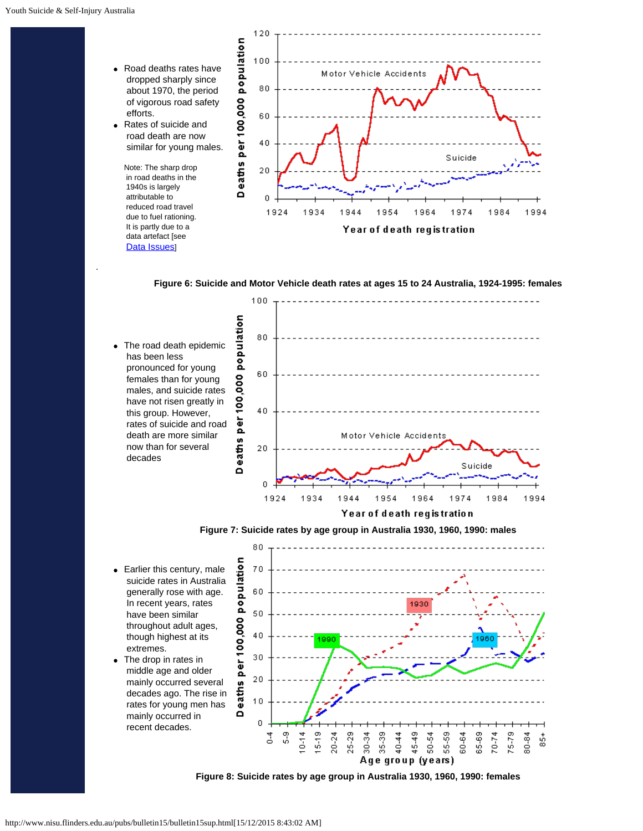.



**Figure 6: Suicide and Motor Vehicle death rates at ages 15 to 24 Australia, 1924-1995: females**





80 population • Earlier this century, male 70 suicide rates in Australia generally rose with age. 60 In recent years, rates 1930 50 have been similar eo. throughout adult ages,  $40$  though highest at its per 100, 990 extremes. 30 The drop in rates in middle age and older  $20$  mainly occurred several eaths decades ago. The rise in  $10$  rates for young men has mainly occurred in  $\Omega$  $\boldsymbol{0}$  recent decades.  $\frac{9}{5}$  $0 - 14$ 15-19 25-29 35-39 45-49 65-69  $20 - 24$ 30-34 40-44 50-54 55-59 60-64 75-79 80-84 좀  $70 - 74$ \$ Age group (years)

**Figure 8: Suicide rates by age group in Australia 1930, 1960, 1990: females**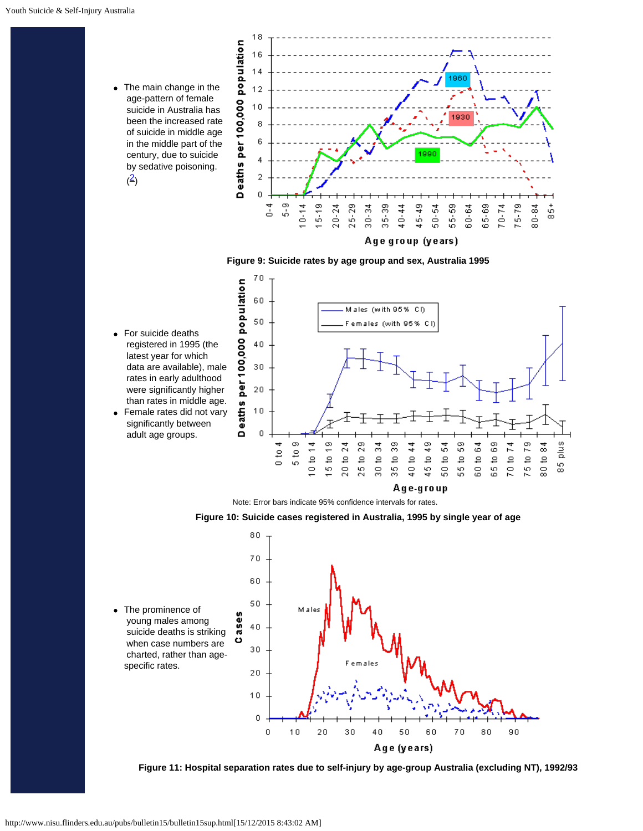The main change in the  $\bullet$  age-pattern of female suicide in Australia has been the increased rate of suicide in middle age in the middle part of the century, due to suicide by sedative poisoning.  $(2)$  $(2)$  $(2)$ 



# **Figure 9: Suicide rates by age group and sex, Australia 1995**



Note: Error bars indicate 95% confidence intervals for rates.





**Figure 11: Hospital separation rates due to self-injury by age-group Australia (excluding NT), 1992/93**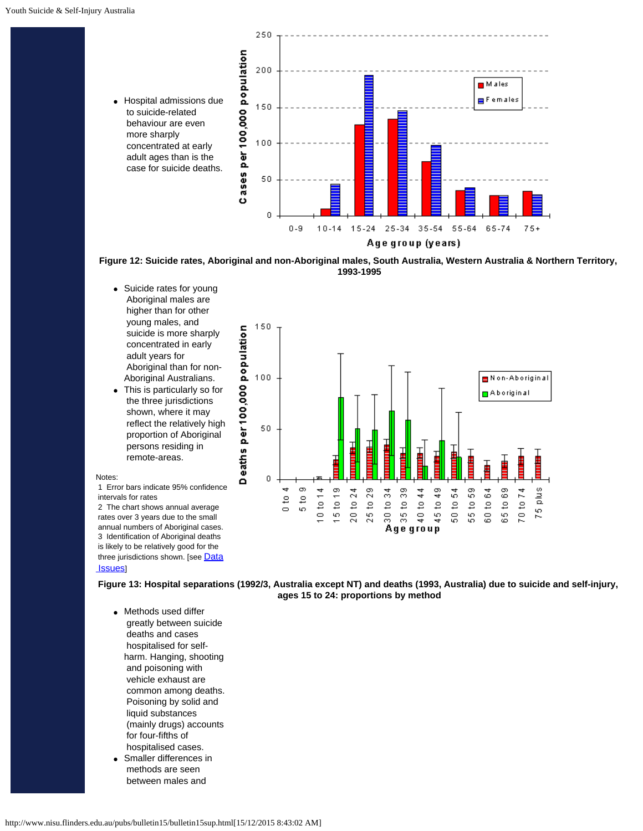

**Figure 12: Suicide rates, Aboriginal and non-Aboriginal males, South Australia, Western Australia & Northern Territory, 1993-1995**

- Suicide rates for young Aboriginal males are higher than for other young males, and suicide is more sharply concentrated in early adult years for Aboriginal than for non-Aboriginal Australians.
- This is particularly so for the three jurisdictions shown, where it may reflect the relatively high proportion of Aboriginal persons residing in remote-areas.

#### Notes:

1 Error bars indicate 95% confidence intervals for rates

2 The chart shows annual average rates over 3 years due to the small annual numbers of Aboriginal cases. 3 Identification of Aboriginal deaths is likely to be relatively good for the three jurisdictions shown. [see [Data](#page-10-0) **Issues** 



<span id="page-5-0"></span>**Figure 13: Hospital separations (1992/3, Australia except NT) and deaths (1993, Australia) due to suicide and self-injury, ages 15 to 24: proportions by method**

- Methods used differ greatly between suicide deaths and cases hospitalised for selfharm. Hanging, shooting and poisoning with vehicle exhaust are common among deaths. Poisoning by solid and liquid substances (mainly drugs) accounts for four-fifths of hospitalised cases.
- Smaller differences in methods are seen between males and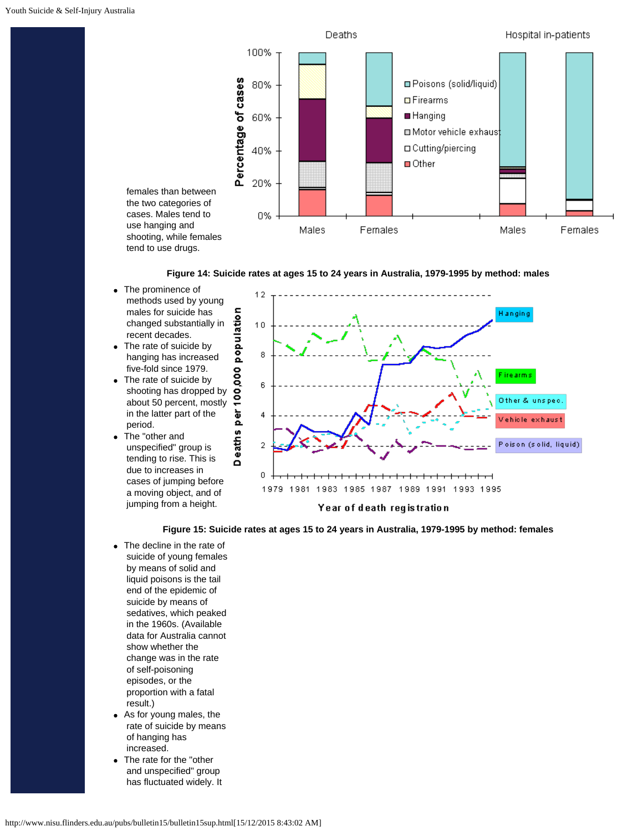



- The prominence of methods used by young males for suicide has changed substantially in recent decades.
- The rate of suicide by hanging has increased five-fold since 1979.
- The rate of suicide by shooting has dropped by about 50 percent, mostly in the latter part of the period.
- The "other and  $\bullet$  unspecified" group is tending to rise. This is due to increases in cases of jumping before a moving object, and of jumping from a height.



**Figure 15: Suicide rates at ages 15 to 24 years in Australia, 1979-1995 by method: females**

- The decline in the rate of suicide of young females by means of solid and liquid poisons is the tail end of the epidemic of suicide by means of sedatives, which peaked in the 1960s. (Available data for Australia cannot show whether the change was in the rate of self-poisoning episodes, or the proportion with a fatal result.)
- As for young males, the rate of suicide by means of hanging has increased.
- The rate for the "other and unspecified" group has fluctuated widely. It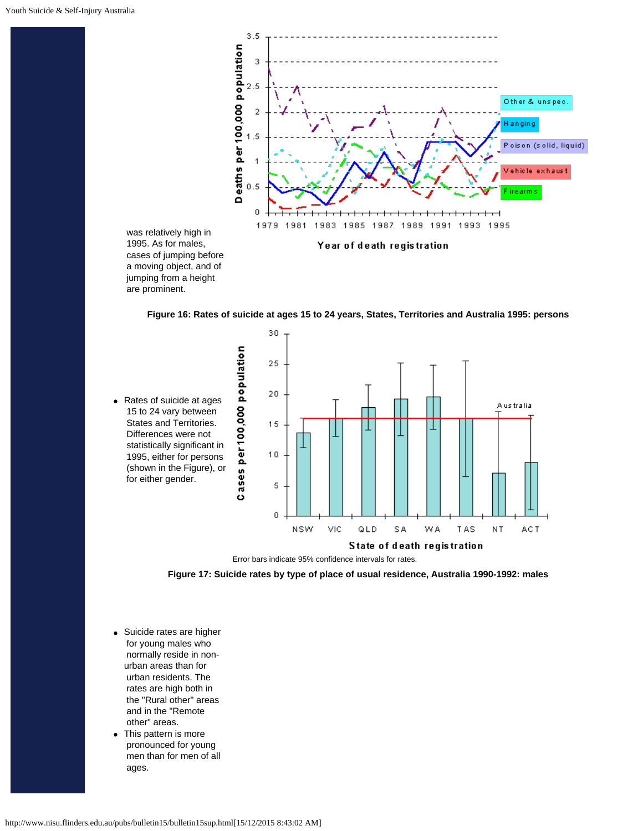

**Figure 16: Rates of suicide at ages 15 to 24 years, States, Territories and Australia 1995: persons**



Error bars indicate 95% confidence intervals for rates.



<span id="page-7-0"></span>Suicide rates are higher for young males who normally reside in nonurban areas than for urban residents. The rates are high both in the "Rural other" areas and in the "Remote other" areas.

are prominent.

This pattern is more pronounced for young men than for men of all ages.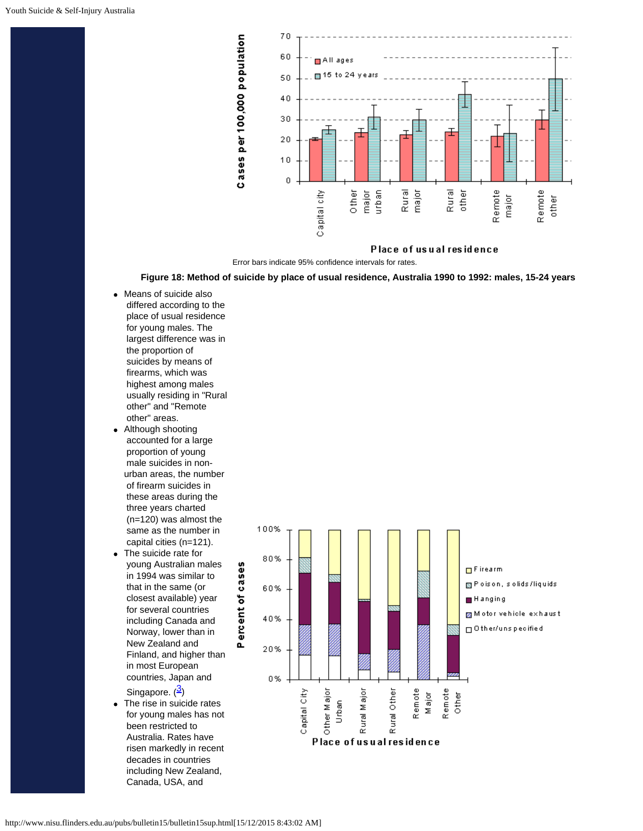

Place of usual residence

Error bars indicate 95% confidence intervals for rates.

## **Figure 18: Method of suicide by place of usual residence, Australia 1990 to 1992: males, 15-24 years**

- <span id="page-8-0"></span>Means of suicide also differed according to the place of usual residence for young males. The largest difference was in the proportion of suicides by means of firearms, which was highest among males usually residing in "Rural other" and "Remote other" areas.
- Although shooting accounted for a large proportion of young male suicides in nonurban areas, the number of firearm suicides in these areas during the three years charted (n=120) was almost the same as the number in capital cities (n=121).
- The suicide rate for young Australian males in 1994 was similar to that in the same (or closest available) year for several countries including Canada and Norway, lower than in New Zealand and Finland, and higher than in most European countries, Japan and Singapore. ([3\)](#page-11-5)
- The rise in suicide rates for young males has not been restricted to Australia. Rates have risen markedly in recent decades in countries including New Zealand, Canada, USA, and

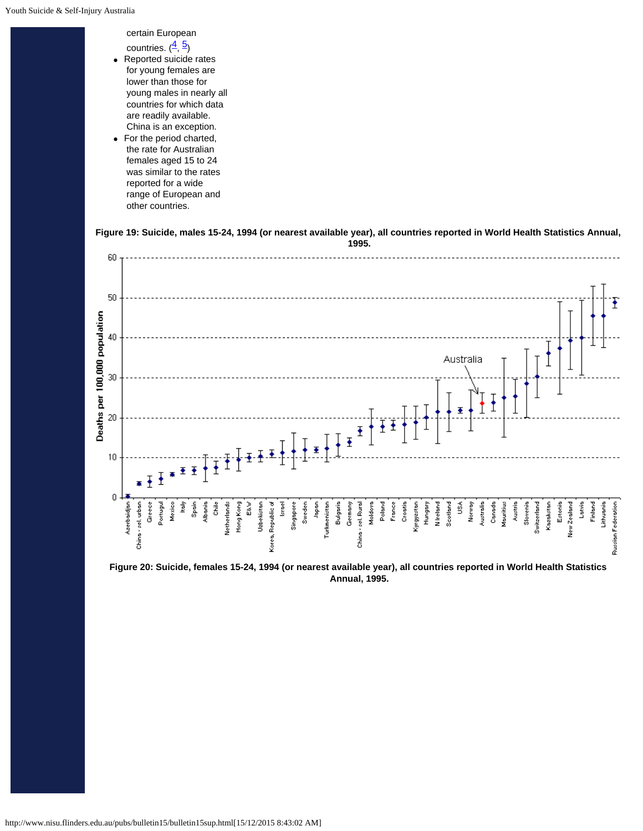certain European

- countries.  $(\frac{4}{5})$  $(\frac{4}{5})$  $(\frac{4}{5})$ Reported suicide rates  $\bullet$  for young females are lower than those for young males in nearly all countries for which data are readily available. China is an exception.
- For the period charted, the rate for Australian females aged 15 to 24 was similar to the rates reported for a wide range of European and other countries.





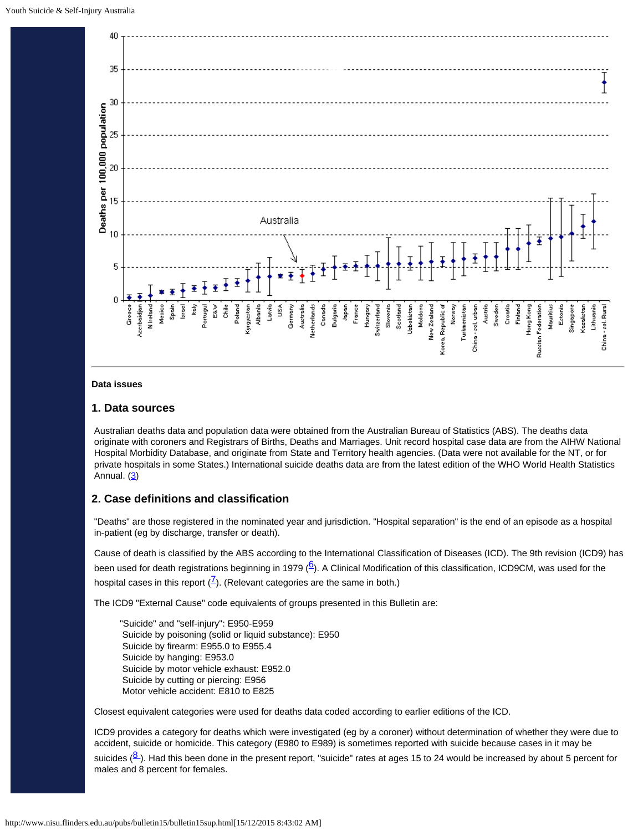

### <span id="page-10-0"></span>**Data issues**

# **1. Data sources**

Australian deaths data and population data were obtained from the Australian Bureau of Statistics (ABS). The deaths data originate with coroners and Registrars of Births, Deaths and Marriages. Unit record hospital case data are from the AIHW National Hospital Morbidity Database, and originate from State and Territory health agencies. (Data were not available for the NT, or for private hospitals in some States.) International suicide deaths data are from the latest edition of the WHO World Health Statistics Annual.  $(3)$  $(3)$ 

# **2. Case definitions and classification**

"Deaths" are those registered in the nominated year and jurisdiction. "Hospital separation" is the end of an episode as a hospital in-patient (eg by discharge, transfer or death).

Cause of death is classified by the ABS according to the International Classification of Diseases (ICD). The 9th revision (ICD9) has been used for death registrations beginning in 1979  $(6)$  $(6)$  $(6)$ . A Clinical Modification of this classification, ICD9CM, was used for the hospital cases in this report  $(\frac{7}{2})$ . (Relevant categories are the same in both.)

The ICD9 "External Cause" code equivalents of groups presented in this Bulletin are:

"Suicide" and "self-injury": E950-E959 Suicide by poisoning (solid or liquid substance): E950 Suicide by firearm: E955.0 to E955.4 Suicide by hanging: E953.0 Suicide by motor vehicle exhaust: E952.0 Suicide by cutting or piercing: E956 Motor vehicle accident: E810 to E825

Closest equivalent categories were used for deaths data coded according to earlier editions of the ICD.

ICD9 provides a category for deaths which were investigated (eg by a coroner) without determination of whether they were due to accident, suicide or homicide. This category (E980 to E989) is sometimes reported with suicide because cases in it may be

suicides [\(8](#page-11-10)). Had this been done in the present report, "suicide" rates at ages 15 to 24 would be increased by about 5 percent for males and 8 percent for females.